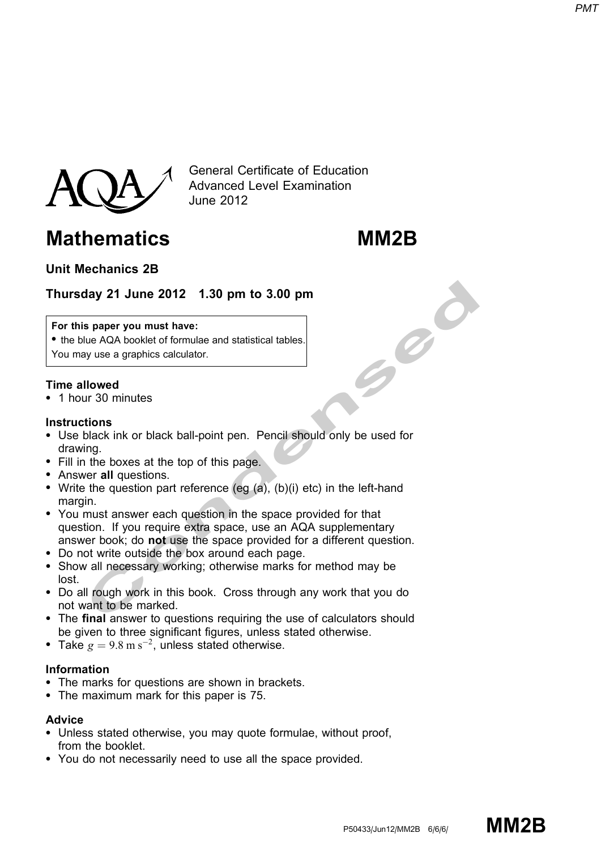

General Certificate of Education Advanced Level Examination June 2012

# Mathematics MM2B

# Unit Mechanics 2B

# Thursday 21 June 2012 1.30 pm to 3.00 pm

#### For this paper you must have:

• the blue AQA booklet of formulae and statistical tables. You may use a graphics calculator.

### Time allowed

\* 1 hour 30 minutes

#### **Instructions**

- Use black ink or black ball-point pen. Pencil should only be used for drawing.
- Fill in the boxes at the top of this page.
- Answer all questions.
- Write the question part reference (eg  $(a)$ ,  $(b)(i)$  etc) in the left-hand margin.
- **Example 2012 1.30 pm to 3.00 pm<br>
spaper you must have:**<br>
lue AQA booklet of formulae and statistical tables.<br>
Juy use a graphics calculator.<br> **Illowed**<br>
Ir 30 minutes<br>
at moment and the boxes at the top of this page.<br>
In • You must answer each question in the space provided for that question. If you require extra space, use an AQA supplementary answer book; do not use the space provided for a different question.
- \* Do not write outside the box around each page.
- Show all necessary working; otherwise marks for method may be lost.
- \* Do all rough work in this book. Cross through any work that you do not want to be marked.
- The final answer to questions requiring the use of calculators should be given to three significant figures, unless stated otherwise.
- Take  $g = 9.8 \text{ m s}^{-2}$ , unless stated otherwise.

#### Information

- The marks for questions are shown in brackets.
- The maximum mark for this paper is 75.

#### Advice

- \* Unless stated otherwise, you may quote formulae, without proof, from the booklet.
- You do not necessarily need to use all the space provided.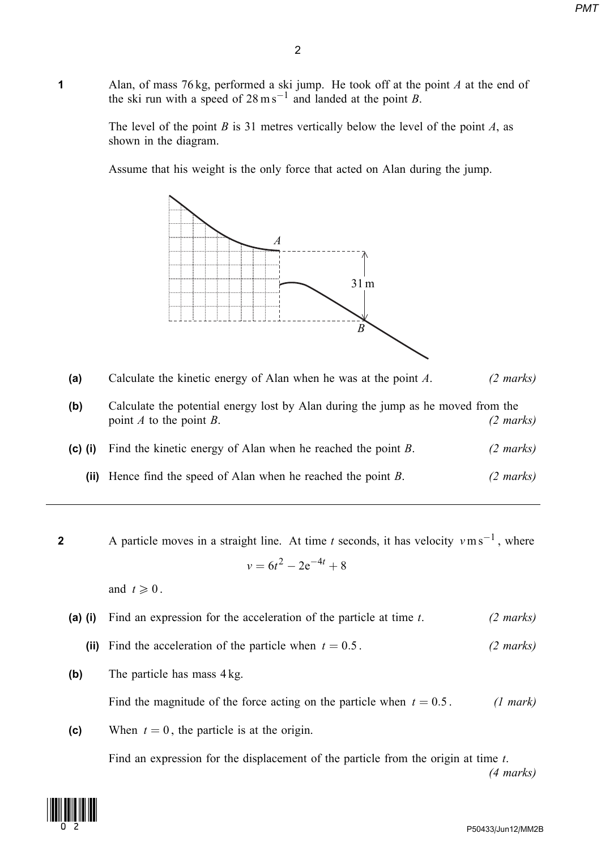1 Alan, of mass 76 kg, performed a ski jump. He took off at the point A at the end of the ski run with a speed of  $28 \text{ m s}^{-1}$  and landed at the point B.

> The level of the point B is 31 metres vertically below the level of the point A, as shown in the diagram.

Assume that his weight is the only force that acted on Alan during the jump.



| (a) | Calculate the kinetic energy of Alan when he was at the point A. | $(2 \text{ marks})$ |
|-----|------------------------------------------------------------------|---------------------|
|-----|------------------------------------------------------------------|---------------------|

| (b) | Calculate the potential energy lost by Alan during the jump as he moved from the |                     |
|-----|----------------------------------------------------------------------------------|---------------------|
|     | point A to the point B.                                                          | $(2 \text{ marks})$ |

(c) (i) Find the kinetic energy of Alan when he reached the point B. (2 marks)

(ii) Hence find the speed of Alan when he reached the point  $B$ . (2 marks)

**2** A particle moves in a straight line. At time t seconds, it has velocity  $v \text{ m s}^{-1}$ , where  $v = 6t^2 - 2e^{-4t} + 8$ 

and  $t \geqslant 0$ .

- (a) (i) Find an expression for the acceleration of the particle at time  $t$ . (2 marks)
	- (ii) Find the acceleration of the particle when  $t = 0.5$ . (2 marks)
- (b) The particle has mass  $4 \text{ kg}$ .

Find the magnitude of the force acting on the particle when  $t = 0.5$ . (1 mark)

(c) When  $t = 0$ , the particle is at the origin.

Find an expression for the displacement of the particle from the origin at time t. (4 marks)

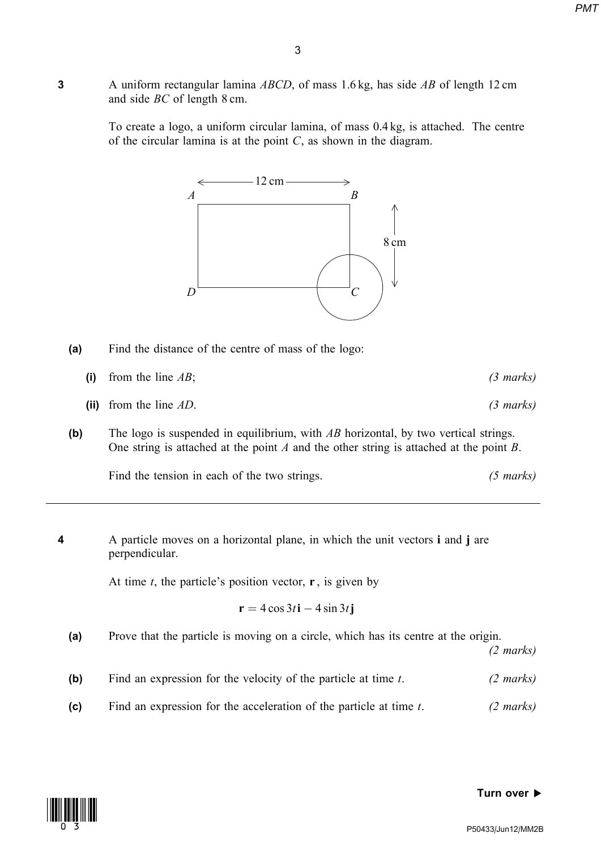3 A uniform rectangular lamina *ABCD*, of mass 1.6 kg, has side *AB* of length 12 cm and side BC of length 8 cm.

> To create a logo, a uniform circular lamina, of mass 0.4 kg, is attached. The centre of the circular lamina is at the point  $C$ , as shown in the diagram.





- (i) from the line  $AB$ ; (3 marks)
- (ii) from the line  $AD$ . (3 marks)
- (b) The logo is suspended in equilibrium, with  $AB$  horizontal, by two vertical strings. One string is attached at the point  $A$  and the other string is attached at the point  $B$ .

Find the tension in each of the two strings. (5 marks)

4 A particle moves on a horizontal plane, in which the unit vectors i and j are perpendicular.

At time t, the particle's position vector,  $\mathbf{r}$ , is given by

$$
\mathbf{r} = 4\cos 3t\mathbf{i} - 4\sin 3t\mathbf{j}
$$

(a) Prove that the particle is moving on a circle, which has its centre at the origin.

(2 marks)

- (b) Find an expression for the velocity of the particle at time  $t$ . (2 marks)
- (c) Find an expression for the acceleration of the particle at time  $t$ . (2 marks)



#### Turn over  $\blacktriangleright$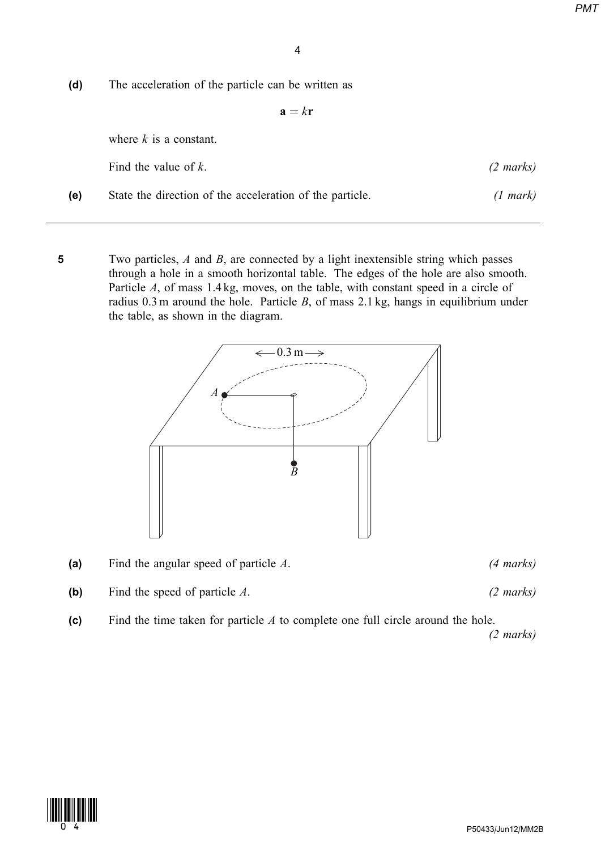(d) The acceleration of the particle can be written as

 $\mathbf{a} = k\mathbf{r}$ 

where  $k$  is a constant.

|     | Find the value of $k$ .                                  | $(2 \text{ marks})$ |
|-----|----------------------------------------------------------|---------------------|
| (e) | State the direction of the acceleration of the particle. | $(1 \text{ mark})$  |

5 Two particles, A and B, are connected by a light inextensible string which passes through a hole in a smooth horizontal table. The edges of the hole are also smooth. Particle A, of mass 1.4 kg, moves, on the table, with constant speed in a circle of radius  $0.3$  m around the hole. Particle  $B$ , of mass  $2.1$  kg, hangs in equilibrium under the table, as shown in the diagram.



(a) Find the angular speed of particle  $A$ . (4 marks)

(b) Find the speed of particle  $A$ . (2 marks)

(c) Find the time taken for particle  $A$  to complete one full circle around the hole.

(2 marks)

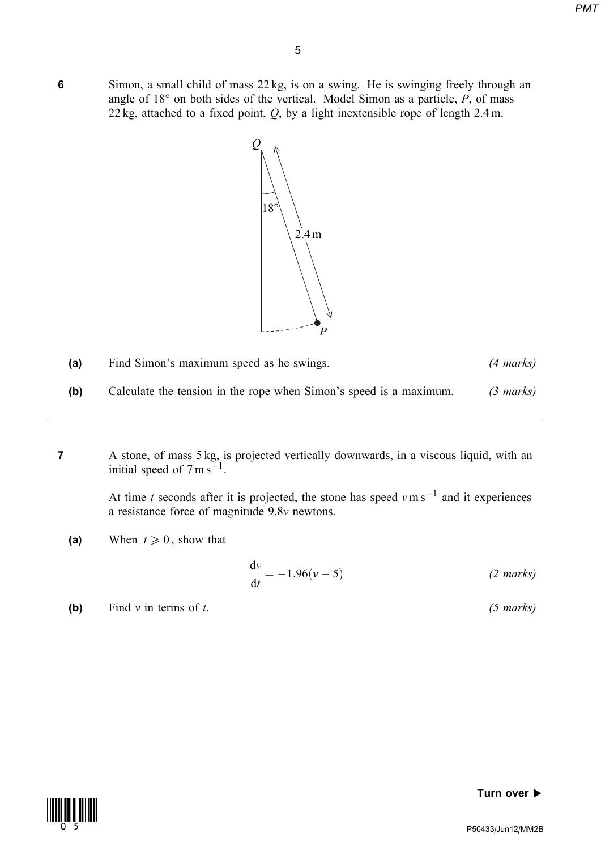6 Simon, a small child of mass 22 kg, is on a swing. He is swinging freely through an angle of  $18^{\circ}$  on both sides of the vertical. Model Simon as a particle, P, of mass 22 kg, attached to a fixed point,  $Q$ , by a light inextensible rope of length 2.4 m.



| (a) | Find Simon's maximum speed as he swings.                           | $(4 \text{ marks})$ |
|-----|--------------------------------------------------------------------|---------------------|
| (b) | Calculate the tension in the rope when Simon's speed is a maximum. | $(3 \text{ marks})$ |

7 A stone, of mass 5 kg, is projected vertically downwards, in a viscous liquid, with an initial speed of  $7 \text{ m s}^{-1}$ .

> At time t seconds after it is projected, the stone has speed  $v \text{ m s}^{-1}$  and it experiences a resistance force of magnitude 9.8v newtons.

(a) When  $t \geq 0$ , show that

$$
\frac{dv}{dt} = -1.96(v - 5)
$$
 (2 marks)

(b) Find v in terms of t.  $(5 \text{ marks})$ 



#### Turn over  $\blacktriangleright$